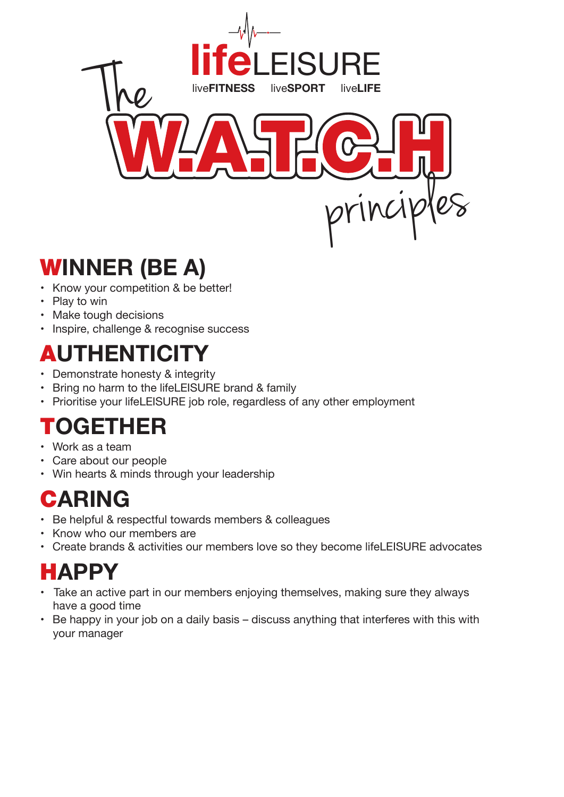

### W**INNER (BE A)**

- Know your competition & be better!
- Play to win
- Make tough decisions
- Inspire, challenge & recognise success

# A**UTHENTICITY**

- Demonstrate honesty & integrity
- Bring no harm to the lifeLEISURE brand & family
- Prioritise your lifeLEISURE job role, regardless of any other employment

### T**OGETHER**

- • Work as a team
- • Care about our people
- Win hearts & minds through your leadership

## C**ARING**

- Be helpful & respectful towards members & colleagues
- • Know who our members are
- Create brands & activities our members love so they become lifeLEISURE advocates

#### H**APPY**

- Take an active part in our members enjoying themselves, making sure they always have a good time
- Be happy in your job on a daily basis discuss anything that interferes with this with your manager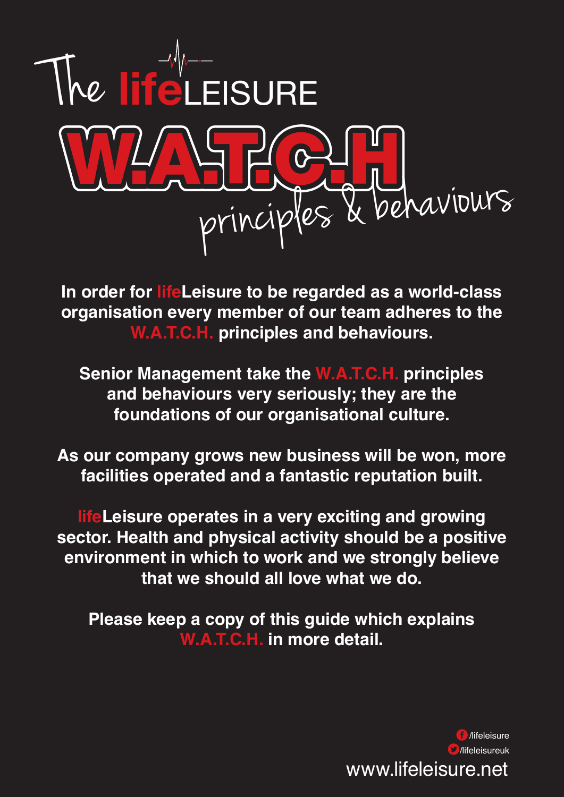

**In order for lifeLeisure to be regarded as a world-class organisation every member of our team adheres to the W.A.T.C.H. principles and behaviours.**

**Senior Management take the W.A.T.C.H. principles and behaviours very seriously; they are the foundations of our organisational culture.**

**As our company grows new business will be won, more facilities operated and a fantastic reputation built.**

**lifeLeisure operates in a very exciting and growing sector. Health and physical activity should be a positive environment in which to work and we strongly believe that we should all love what we do.**

**Please keep a copy of this guide which explains W.A.T.C.H. in more detail.**